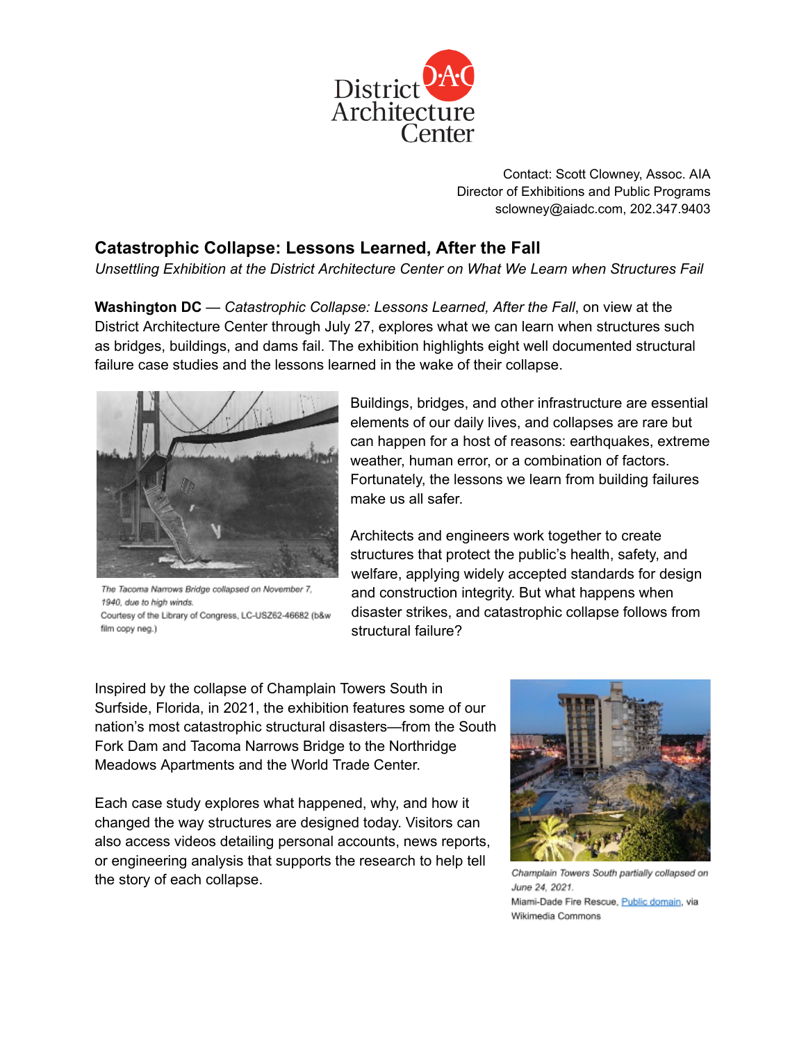

Contact: Scott Clowney, Assoc. AIA Director of Exhibitions and Public Programs sclowney@aiadc.com, 202.347.9403

## **Catastrophic Collapse: Lessons Learned, After the Fall**

*Unsettling Exhibition at the District Architecture Center on What We Learn when Structures Fail*

**Washington DC** — *Catastrophic Collapse: Lessons Learned, After the Fall*, on view at the District Architecture Center through July 27, explores what we can learn when structures such as bridges, buildings, and dams fail. The exhibition highlights eight well documented structural failure case studies and the lessons learned in the wake of their collapse.



The Tacoma Narrows Bridge collapsed on November 7, 1940, due to high winds. Courtesy of the Library of Congress, LC-USZ62-46682 (b&w film copy neg.)

Buildings, bridges, and other infrastructure are essential elements of our daily lives, and collapses are rare but can happen for a host of reasons: earthquakes, extreme weather, human error, or a combination of factors. Fortunately, the lessons we learn from building failures make us all safer.

Architects and engineers work together to create structures that protect the public's health, safety, and welfare, applying widely accepted standards for design and construction integrity. But what happens when disaster strikes, and catastrophic collapse follows from structural failure?

Inspired by the collapse of Champlain Towers South in Surfside, Florida, in 2021, the exhibition features some of our nation's most catastrophic structural disasters—from the South Fork Dam and Tacoma Narrows Bridge to the Northridge Meadows Apartments and the World Trade Center.

Each case study explores what happened, why, and how it changed the way structures are designed today. Visitors can also access videos detailing personal accounts, news reports, or engineering analysis that supports the research to help tell the story of each collapse.



Champlain Towers South partially collapsed on June 24, 2021. Miami-Dade Fire Rescue, Public domain, via Wikimedia Commons